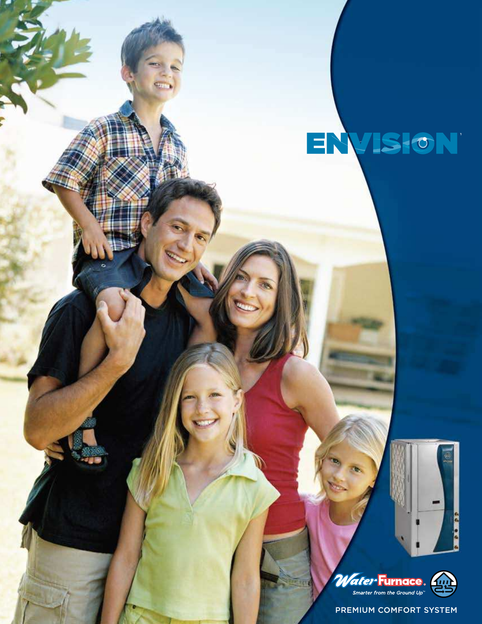## ENVISION





PREMIUM COMFORT SYSTEM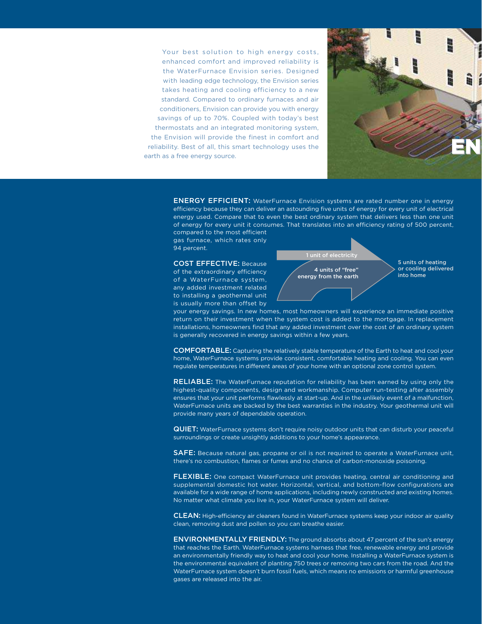Your best solution to high energy costs, enhanced comfort and improved reliability is the WaterFurnace Envision series. Designed with leading edge technology, the Envision series takes heating and cooling efficiency to a new standard. Compared to ordinary furnaces and air conditioners, Envision can provide you with energy savings of up to 70%. Coupled with today's best thermostats and an integrated monitoring system, the Envision will provide the finest in comfort and reliability. Best of all, this smart technology uses the earth as a free energy source.



ENERGY EFFICIENT: WaterFurnace Envision systems are rated number one in energy efficiency because they can deliver an astounding five units of energy for every unit of electrical energy used. Compare that to even the best ordinary system that delivers less than one unit of energy for every unit it consumes. That translates into an efficiency rating of 500 percent, compared to the most efficient

gas furnace, which rates only 94 percent.

COST EFFECTIVE: Because of the extraordinary efficiency of a WaterFurnace system, any added investment related to installing a geothermal unit is usually more than offset by



5 units of heating or cooling delivered into home

your energy savings. In new homes, most homeowners will experience an immediate positive return on their investment when the system cost is added to the mortgage. In replacement installations, homeowners find that any added investment over the cost of an ordinary system is generally recovered in energy savings within a few years.

COMFORTABLE: Capturing the relatively stable temperature of the Earth to heat and cool your home, WaterFurnace systems provide consistent, comfortable heating and cooling. You can even regulate temperatures in different areas of your home with an optional zone control system.

RELIABLE: The WaterFurnace reputation for reliability has been earned by using only the highest-quality components, design and workmanship. Computer run-testing after assembly ensures that your unit performs flawlessly at start-up. And in the unlikely event of a malfunction, WaterFurnace units are backed by the best warranties in the industry. Your geothermal unit will provide many years of dependable operation.

QUIET: WaterFurnace systems don't require noisy outdoor units that can disturb your peaceful surroundings or create unsightly additions to your home's appearance.

SAFE: Because natural gas, propane or oil is not required to operate a WaterFurnace unit, there's no combustion, flames or fumes and no chance of carbon-monoxide poisoning.

FLEXIBLE: One compact WaterFurnace unit provides heating, central air conditioning and supplemental domestic hot water. Horizontal, vertical, and bottom-flow configurations are available for a wide range of home applications, including newly constructed and existing homes. No matter what climate you live in, your WaterFurnace system will deliver.

CLEAN: High-efficiency air cleaners found in WaterFurnace systems keep your indoor air quality clean, removing dust and pollen so you can breathe easier.

ENVIRONMENTALLY FRIENDLY: The ground absorbs about 47 percent of the sun's energy that reaches the Earth. WaterFurnace systems harness that free, renewable energy and provide an environmentally friendly way to heat and cool your home. Installing a WaterFurnace system is the environmental equivalent of planting 750 trees or removing two cars from the road. And the WaterFurnace system doesn't burn fossil fuels, which means no emissions or harmful greenhouse gases are released into the air.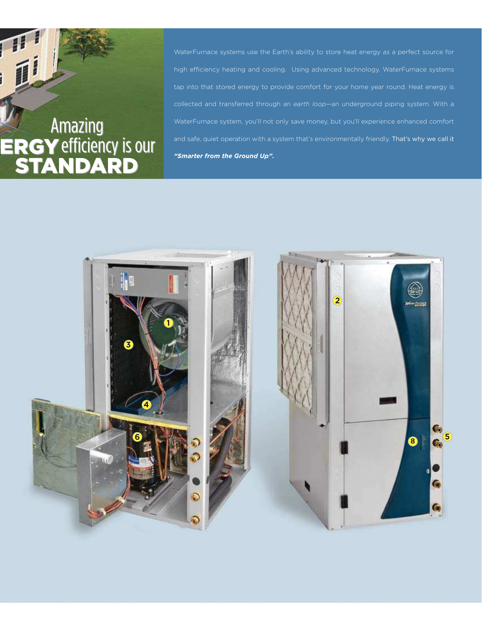# *Amazing<br>ERGY efficiency is our<br>STANDARD*

WaterFurnace systems use the Earth's ability to store heat energy as a perfect source for high efficiency heating and cooling. Using advanced technology, WaterFurnace systems tap into that stored energy to provide comfort for your home year round. Heat energy is collected and transferred through an *earth loop*—an underground piping system. With a WaterFurnace system, you'll not only save money, but you'll experience enhanced comfort and safe, quiet operation with a system that's environmentally friendly. That's why we call it *"Smarter from the Ground Up".* 

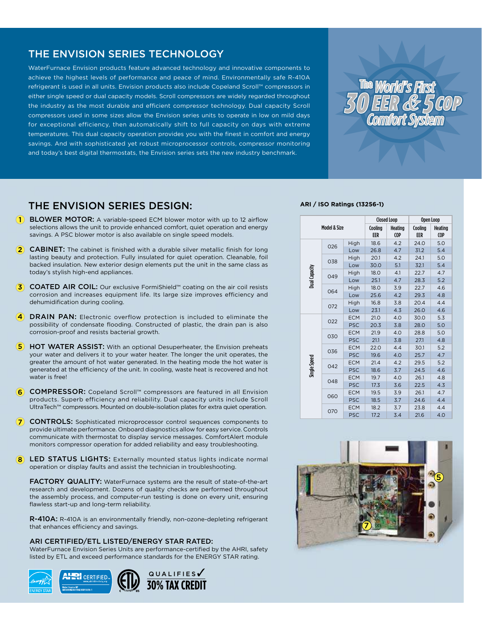#### THE ENVISION SERIES TECHNOLOGY

WaterFurnace Envision products feature advanced technology and innovative components to achieve the highest levels of performance and peace of mind. Environmentally safe R-410A refrigerant is used in all units. Envision products also include Copeland Scroll™ compressors in either single speed or dual capacity models. Scroll compressors are widely regarded throughout the industry as the most durable and efficient compressor technology. Dual capacity Scroll compressors used in some sizes allow the Envision series units to operate in low on mild days for exceptional efficiency, then automatically shift to full capacity on days with extreme temperatures. This dual capacity operation provides you with the finest in comfort and energy savings. And with sophisticated yet robust microprocessor controls, compressor monitoring and today's best digital thermostats, the Envision series sets the new industry benchmark.



#### THE ENVISION SERIES dESIGN:

- **1** BLOWER MOTOR: A variable-speed ECM blower motor with up to 12 airflow selections allows the unit to provide enhanced comfort, quiet operation and energy savings. A PSC blower motor is also available on single speed models.
- **2 CABINET:** The cabinet is finished with a durable silver metallic finish for long lasting beauty and protection. Fully insulated for quiet operation. Cleanable, foil backed insulation. New exterior design elements put the unit in the same class as today's stylish high-end appliances.
- 3 COATED AIR COIL: Our exclusive FormiShield™ coating on the air coil resists corrosion and increases equipment life. Its large size improves efficiency and dehumidification during cooling.
- **4** DRAIN PAN: Electronic overflow protection is included to eliminate the possibility of condensate flooding. Constructed of plastic, the drain pan is also corrosion-proof and resists bacterial growth.
- **5** HOT WATER ASSIST: With an optional Desuperheater, the Envision preheats your water and delivers it to your water heater. The longer the unit operates, the greater the amount of hot water generated. In the heating mode the hot water is generated at the efficiency of the unit. In cooling, waste heat is recovered and hot water is free!
- 6 COMPRESSOR: Copeland Scroll™ compressors are featured in all Envision products. Superb efficiency and reliability. Dual capacity units include Scroll UltraTech™ compressors. Mounted on double-isolation plates for extra quiet operation.
- **(7) CONTROLS:** Sophisticated microprocessor control sequences components to provide ultimate performance. Onboard diagnostics allow for easy service. Controls communicate with thermostat to display service messages. ComfortAlert module monitors compressor operation for added reliability and easy troubleshooting.
- 8 LED STATUS LIGHTS: Externally mounted status lights indicate normal operation or display faults and assist the technician in troubleshooting.

FACTORY QUALITY: WaterFurnace systems are the result of state-of-the-art research and development. Dozens of quality checks are performed throughout the assembly process, and computer-run testing is done on every unit, ensuring flawless start-up and long-term reliability.

R-410A: R-410A is an environmentally friendly, non-ozone-depleting refrigerant that enhances efficiency and savings.

#### ARI CERTIFIED/ETL LISTED/ENERGY STAR RATED:

WaterFurnace Envision Series Units are performance-certified by the AHRI, safety listed by ETL and exceed performance standards for the ENERGY STAR rating.



#### **ARI / ISO Ratings (13256-1)**

| Model & Size  |     |            | <b>Closed Loop</b> |                       | Open Loop      |                |
|---------------|-----|------------|--------------------|-----------------------|----------------|----------------|
|               |     |            | Cooling<br>EER     | Heating<br><b>COP</b> | Cooling<br>EER | Heating<br>COP |
| Dual Capacity | 026 | High       | 18.6               | 4.2                   | 24.0           | 5.0            |
|               |     | Low        | 26.8               | 4.7                   | 31.2           | 5.4            |
|               | 038 | High       | 20.1               | 4.2                   | 24.1           | 5.0            |
|               |     | Low        | 30.0               | 5.1                   | 32.1           | 5.4            |
|               | 049 | High       | 18.0               | 4.1                   | 22.7           | 4.7            |
|               |     | Low        | 25.1               | 4.7                   | 28.3           | 5.2            |
|               | 064 | High       | 18.0               | 3.9                   | 22.7           | 4.6            |
|               |     | Low        | 25.6               | 4.2                   | 29.3           | 4.8            |
|               | 072 | High       | 16.8               | 3.8                   | 20.4           | 4.4            |
|               |     | Low        | 23.1               | 4.3                   | 26.0           | 4.6            |
| Single Speed  | 022 | <b>ECM</b> | 21.0               | 4.0                   | 30.0           | 5.3            |
|               |     | <b>PSC</b> | 20.3               | 3.8                   | 28.0           | 5.0            |
|               | 030 | <b>ECM</b> | 21.9               | 4.0                   | 28.8           | 5.0            |
|               |     | <b>PSC</b> | 21.1               | 3.8                   | 27.1           | 4.8            |
|               | 036 | <b>ECM</b> | 22.0               | 4.4                   | 30.1           | 5.2            |
|               |     | <b>PSC</b> | 19.6               | 4.0                   | 25.7           | 4.7            |
|               | 042 | <b>ECM</b> | 21.4               | 4.2                   | 29.5           | 5.2            |
|               |     | <b>PSC</b> | 18.6               | 3.7                   | 24.5           | 4.6            |
|               | 048 | <b>ECM</b> | 19.7               | 4.0                   | 26.1           | 4.8            |
|               |     | <b>PSC</b> | 17.3               | 3.6                   | 22.5           | 4.3            |
|               | 060 | <b>ECM</b> | 19.5               | 3.9                   | 26.1           | 4.7            |
|               |     | <b>PSC</b> | 18.5               | 3.7                   | 24.6           | 4.4            |
|               | 070 | <b>ECM</b> | 18.2               | 3.7                   | 23.8           | 4.4            |
|               |     | <b>PSC</b> | 17.2               | 3.4                   | 21.6           | 4.0            |

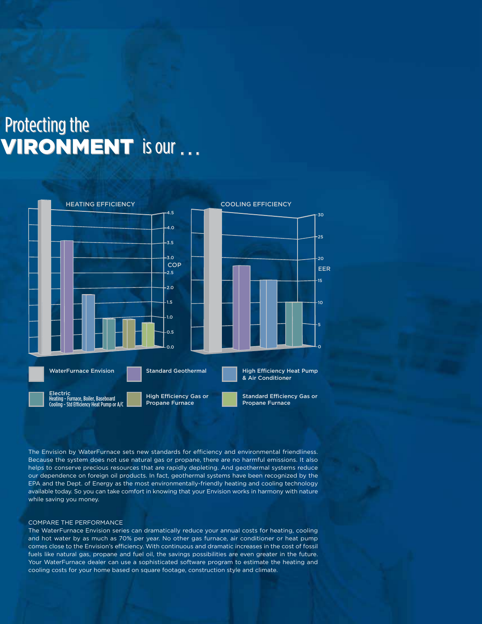### Protecting the **VIRONMENT** is our ...



The Envision by WaterFurnace sets new standards for efficiency and environmental friendliness. Because the system does not use natural gas or propane, there are no harmful emissions. It also helps to conserve precious resources that are rapidly depleting. And geothermal systems reduce our dependence on foreign oil products. In fact, geothermal systems have been recognized by the EPA and the Dept. of Energy as the most environmentally-friendly heating and cooling technology available today. So you can take comfort in knowing that your Envision works in harmony with nature while saving you money.

#### COMPARE THE PERFORMANCE

The WaterFurnace Envision series can dramatically reduce your annual costs for heating, cooling and hot water by as much as 70% per year. No other gas furnace, air conditioner or heat pump comes close to the Envision's efficiency. With continuous and dramatic increases in the cost of fossil fuels like natural gas, propane and fuel oil, the savings possibilities are even greater in the future. Your WaterFurnace dealer can use a sophisticated software program to estimate the heating and cooling costs for your home based on square footage, construction style and climate.